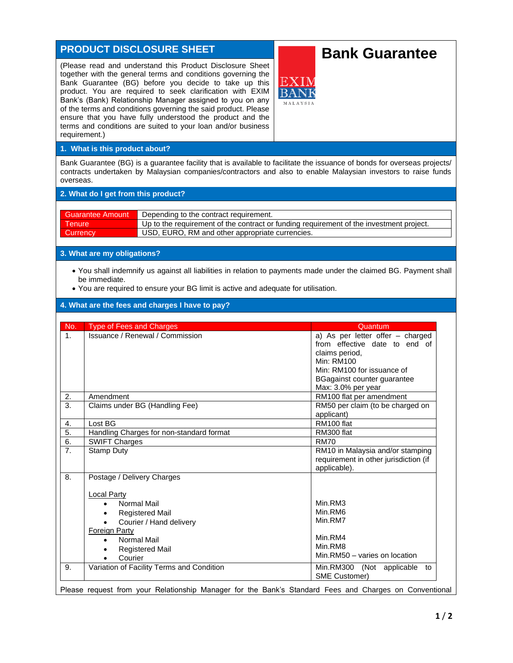# **PRODUCT DISCLOSURE SHEET**

(Please read and understand this Product Disclosure Sheet together with the general terms and conditions governing the Bank Guarantee (BG) before you decide to take up this product. You are required to seek clarification with EXIM Bank's (Bank) Relationship Manager assigned to you on any of the terms and conditions governing the said product. Please ensure that you have fully understood the product and the terms and conditions are suited to your loan and/or business requirement.)

# **Bank Guarantee**

**1. What is this product about?**

Bank Guarantee (BG) is a guarantee facility that is available to facilitate the issuance of bonds for overseas projects/ contracts undertaken by Malaysian companies/contractors and also to enable Malaysian investors to raise funds overseas.

#### **2. What do I get from this product?**

| <b>Guarantee Amount</b> | Depending to the contract requirement.                                                  |  |
|-------------------------|-----------------------------------------------------------------------------------------|--|
| <b>Tenure</b>           | Up to the requirement of the contract or funding requirement of the investment project. |  |
| <b>Currency</b>         | USD, EURO, RM and other appropriate currencies.                                         |  |

#### **3. What are my obligations?**

- You shall indemnify us against all liabilities in relation to payments made under the claimed BG. Payment shall be immediate.
- You are required to ensure your BG limit is active and adequate for utilisation.

#### **4. What are the fees and charges I have to pay?**

| No.              | <b>Type of Fees and Charges</b>           | Quantum                                                 |
|------------------|-------------------------------------------|---------------------------------------------------------|
| $\mathbf{1}$ .   | <b>Issuance / Renewal / Commission</b>    | a) As per letter offer - charged                        |
|                  |                                           | from effective date to end of                           |
|                  |                                           | claims period.                                          |
|                  |                                           | Min: RM100                                              |
|                  |                                           | Min: RM100 for issuance of                              |
|                  |                                           | BGagainst counter guarantee                             |
|                  |                                           | Max: 3.0% per year                                      |
| 2.               | Amendment                                 | RM100 flat per amendment                                |
| $\overline{3}$ . | Claims under BG (Handling Fee)            | RM50 per claim (to be charged on                        |
|                  |                                           | applicant)                                              |
| 4.               | Lost BG                                   | RM100 flat                                              |
| 5.               | Handling Charges for non-standard format  | RM300 flat                                              |
| 6.               | <b>SWIFT Charges</b>                      | <b>RM70</b>                                             |
| $\overline{7}$ . | Stamp Duty                                | RM10 in Malaysia and/or stamping                        |
|                  |                                           | requirement in other jurisdiction (if                   |
|                  |                                           | applicable).                                            |
| 8.               | Postage / Delivery Charges                |                                                         |
|                  | <b>Local Party</b>                        |                                                         |
|                  | Normal Mail<br>$\bullet$                  | Min.RM3                                                 |
|                  | <b>Registered Mail</b>                    | Min.RM6                                                 |
|                  | Courier / Hand delivery<br>$\bullet$      | Min.RM7                                                 |
|                  | <b>Foreign Party</b>                      |                                                         |
|                  | Normal Mail<br>$\bullet$                  | Min.RM4                                                 |
|                  | <b>Registered Mail</b>                    | Min.RM8                                                 |
|                  | Courier                                   | Min.RM50 - varies on location                           |
|                  |                                           |                                                         |
| 9.               | Variation of Facility Terms and Condition | Min.RM300 (Not applicable<br>to<br><b>SME Customer)</b> |

Please request from your Relationship Manager for the Bank's Standard Fees and Charges on Conventional